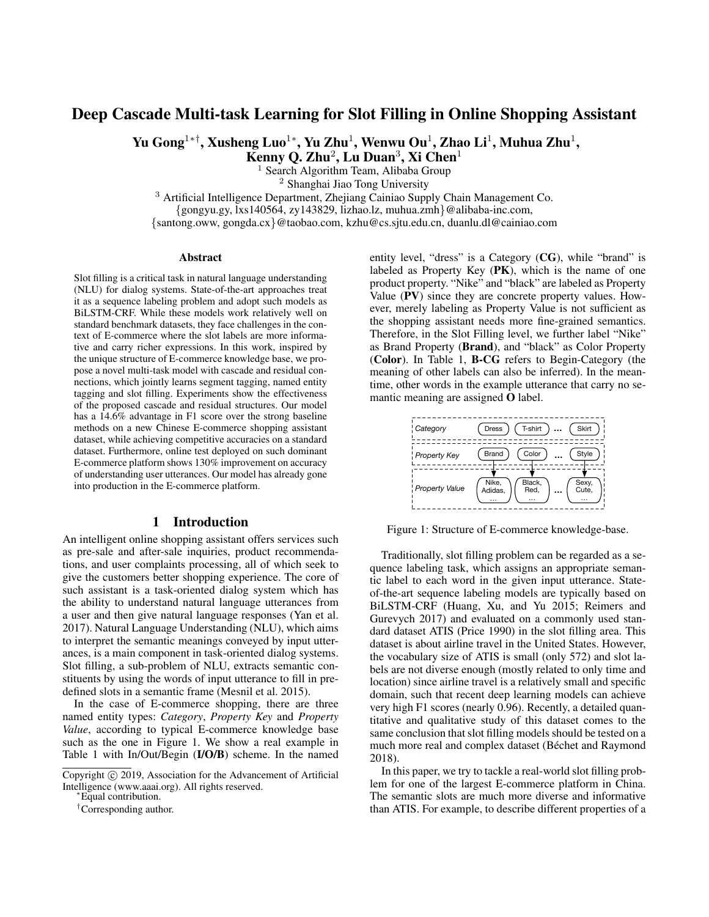# Deep Cascade Multi-task Learning for Slot Filling in Online Shopping Assistant

Yu Gong $^{1*^{\dagger}},$  Xusheng Luo $^{1*},$  Yu Zhu $^{1},$  Wenwu Ou $^{1},$  Zhao Li $^{1},$  Muhua Zhu $^{1},$ 

 $\bar{\mathbf{K}}$ enny Q. Zhu<sup>2</sup>, Lu Duan<sup>3</sup>, Xi Chen<sup>1</sup>

<sup>1</sup> Search Algorithm Team, Alibaba Group

<sup>2</sup> Shanghai Jiao Tong University

<sup>3</sup> Artificial Intelligence Department, Zhejiang Cainiao Supply Chain Management Co.

 $\{gongyu.gy, lx140564, zy143829, lizhao.lz, muhua,zmh\}@alibaba-inc.com,$ 

{santong.oww, gongda.cx}@taobao.com, kzhu@cs.sjtu.edu.cn, duanlu.dl@cainiao.com

### **Abstract**

Slot filling is a critical task in natural language understanding (NLU) for dialog systems. State-of-the-art approaches treat it as a sequence labeling problem and adopt such models as BiLSTM-CRF. While these models work relatively well on standard benchmark datasets, they face challenges in the context of E-commerce where the slot labels are more informative and carry richer expressions. In this work, inspired by the unique structure of E-commerce knowledge base, we propose a novel multi-task model with cascade and residual connections, which jointly learns segment tagging, named entity tagging and slot filling. Experiments show the effectiveness of the proposed cascade and residual structures. Our model has a 14.6% advantage in F1 score over the strong baseline methods on a new Chinese E-commerce shopping assistant dataset, while achieving competitive accuracies on a standard dataset. Furthermore, online test deployed on such dominant E-commerce platform shows 130% improvement on accuracy of understanding user utterances. Our model has already gone into production in the E-commerce platform.

# 1 Introduction

An intelligent online shopping assistant offers services such as pre-sale and after-sale inquiries, product recommendations, and user complaints processing, all of which seek to give the customers better shopping experience. The core of such assistant is a task-oriented dialog system which has the ability to understand natural language utterances from a user and then give natural language responses (Yan et al. 2017). Natural Language Understanding (NLU), which aims to interpret the semantic meanings conveyed by input utterances, is a main component in task-oriented dialog systems. Slot filling, a sub-problem of NLU, extracts semantic constituents by using the words of input utterance to fill in predefined slots in a semantic frame (Mesnil et al. 2015).

In the case of E-commerce shopping, there are three named entity types: *Category*, *Property Key* and *Property Value*, according to typical E-commerce knowledge base such as the one in Figure 1. We show a real example in Table 1 with In/Out/Begin (I/O/B) scheme. In the named

<sup>∗</sup>Equal contribution.

†Corresponding author.

entity level, "dress" is a Category (CG), while "brand" is labeled as Property Key  $(PK)$ , which is the name of one product property. "Nike" and "black" are labeled as Property Value (PV) since they are concrete property values. However, merely labeling as Property Value is not sufficient as the shopping assistant needs more fine-grained semantics. Therefore, in the Slot Filling level, we further label "Nike" as Brand Property (Brand), and "black" as Color Property (Color). In Table 1, B-CG refers to Begin-Category (the meaning of other labels can also be inferred). In the meantime, other words in the example utterance that carry no semantic meaning are assigned O label.



Figure 1: Structure of E-commerce knowledge-base.

Traditionally, slot filling problem can be regarded as a sequence labeling task, which assigns an appropriate semantic label to each word in the given input utterance. Stateof-the-art sequence labeling models are typically based on BiLSTM-CRF (Huang, Xu, and Yu 2015; Reimers and Gurevych 2017) and evaluated on a commonly used standard dataset ATIS (Price 1990) in the slot filling area. This dataset is about airline travel in the United States. However, the vocabulary size of ATIS is small (only 572) and slot labels are not diverse enough (mostly related to only time and location) since airline travel is a relatively small and specific domain, such that recent deep learning models can achieve very high F1 scores (nearly 0.96). Recently, a detailed quantitative and qualitative study of this dataset comes to the same conclusion that slot filling models should be tested on a much more real and complex dataset (Béchet and Raymond 2018).

In this paper, we try to tackle a real-world slot filling problem for one of the largest E-commerce platform in China. The semantic slots are much more diverse and informative than ATIS. For example, to describe different properties of a

Copyright (c) 2019, Association for the Advancement of Artificial Intelligence (www.aaai.org). All rights reserved.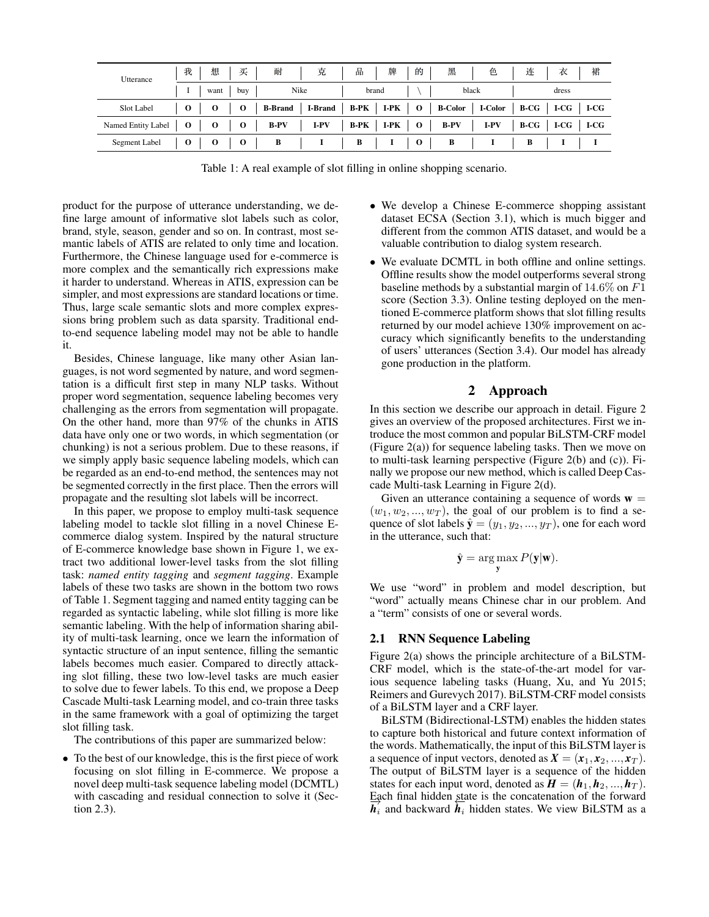| Utterance          | 我            | 想            | 买            | 耐            | 克                                                                            | 品 | 牌                | 的 | 黑            | 色     | 连             | 衣                       | 裙 |
|--------------------|--------------|--------------|--------------|--------------|------------------------------------------------------------------------------|---|------------------|---|--------------|-------|---------------|-------------------------|---|
|                    | $\mathbf{I}$ | want         | buy          |              | Nike                                                                         |   | brand            |   |              | black |               | dress                   |   |
| Slot Label         | $\mathbf{o}$ | $\mathbf{o}$ | $\mathbf{O}$ |              | B-Brand   I-Brand   B-PK   I-PK   O   B-Color   I-Color   B-CG   I-CG   I-CG |   |                  |   |              |       |               |                         |   |
| Named Entity Label | $\mathbf{o}$ | $\mathbf{o}$ | $\mathbf{o}$ | <b>B-PV</b>  | I-PV                                                                         |   | B-PK   I-PK   O  |   | $B-PV$       |       | $I-PV$   B-CG | $\mid$ I-CG $\mid$ I-CG |   |
| Segment Label      | $\mathbf{o}$ | $\mathbf{o}$ | $\mathbf{o}$ | $\mathbf{B}$ |                                                                              |   | $\mathbf{B}$   I |   | $\mathbf{B}$ |       | B             |                         |   |

Table 1: A real example of slot filling in online shopping scenario.

product for the purpose of utterance understanding, we define large amount of informative slot labels such as color, brand, style, season, gender and so on. In contrast, most semantic labels of ATIS are related to only time and location. Furthermore, the Chinese language used for e-commerce is more complex and the semantically rich expressions make it harder to understand. Whereas in ATIS, expression can be simpler, and most expressions are standard locations or time. Thus, large scale semantic slots and more complex expressions bring problem such as data sparsity. Traditional endto-end sequence labeling model may not be able to handle it.

Besides, Chinese language, like many other Asian languages, is not word segmented by nature, and word segmentation is a difficult first step in many NLP tasks. Without proper word segmentation, sequence labeling becomes very challenging as the errors from segmentation will propagate. On the other hand, more than 97% of the chunks in ATIS data have only one or two words, in which segmentation (or chunking) is not a serious problem. Due to these reasons, if we simply apply basic sequence labeling models, which can be regarded as an end-to-end method, the sentences may not be segmented correctly in the first place. Then the errors will propagate and the resulting slot labels will be incorrect.

In this paper, we propose to employ multi-task sequence labeling model to tackle slot filling in a novel Chinese Ecommerce dialog system. Inspired by the natural structure of E-commerce knowledge base shown in Figure 1, we extract two additional lower-level tasks from the slot filling task: *named entity tagging* and *segment tagging*. Example labels of these two tasks are shown in the bottom two rows of Table 1. Segment tagging and named entity tagging can be regarded as syntactic labeling, while slot filling is more like semantic labeling. With the help of information sharing ability of multi-task learning, once we learn the information of syntactic structure of an input sentence, filling the semantic labels becomes much easier. Compared to directly attacking slot filling, these two low-level tasks are much easier to solve due to fewer labels. To this end, we propose a Deep Cascade Multi-task Learning model, and co-train three tasks in the same framework with a goal of optimizing the target slot filling task.

The contributions of this paper are summarized below:

• To the best of our knowledge, this is the first piece of work focusing on slot filling in E-commerce. We propose a novel deep multi-task sequence labeling model (DCMTL) with cascading and residual connection to solve it (Section 2.3).

- We develop a Chinese E-commerce shopping assistant dataset ECSA (Section 3.1), which is much bigger and different from the common ATIS dataset, and would be a valuable contribution to dialog system research.
- We evaluate DCMTL in both offline and online settings. Offline results show the model outperforms several strong baseline methods by a substantial margin of  $14.6\%$  on  $F1$ score (Section 3.3). Online testing deployed on the mentioned E-commerce platform shows that slot filling results returned by our model achieve 130% improvement on accuracy which significantly benefits to the understanding of users' utterances (Section 3.4). Our model has already gone production in the platform.

# 2 Approach

In this section we describe our approach in detail. Figure 2 gives an overview of the proposed architectures. First we introduce the most common and popular BiLSTM-CRF model (Figure  $2(a)$ ) for sequence labeling tasks. Then we move on to multi-task learning perspective (Figure 2(b) and (c)). Finally we propose our new method, which is called Deep Cascade Multi-task Learning in Figure 2(d).

Given an utterance containing a sequence of words  $w =$  $(w_1, w_2, ..., w_T)$ , the goal of our problem is to find a sequence of slot labels  $\hat{\mathbf{y}} = (y_1, y_2, ..., y_T)$ , one for each word in the utterance, such that:

$$
\hat{\mathbf{y}} = \arg\max_{\mathbf{y}} P(\mathbf{y}|\mathbf{w}).
$$

We use "word" in problem and model description, but "word" actually means Chinese char in our problem. And a "term" consists of one or several words.

### 2.1 RNN Sequence Labeling

Figure 2(a) shows the principle architecture of a BiLSTM-CRF model, which is the state-of-the-art model for various sequence labeling tasks (Huang, Xu, and Yu 2015; Reimers and Gurevych 2017). BiLSTM-CRF model consists of a BiLSTM layer and a CRF layer.

BiLSTM (Bidirectional-LSTM) enables the hidden states to capture both historical and future context information of the words. Mathematically, the input of this BiLSTM layer is a sequence of input vectors, denoted as  $X = (x_1, x_2, ..., x_T)$ . The output of BiLSTM layer is a sequence of the hidden states for each input word, denoted as  $H = (h_1, h_2, ..., h_T)$ .<br>Each final hidden state is the concatenation of the forward Each final hidden state is the concatenation of the forward  $h_i$  and backward  $h_i$  hidden states. We view BiLSTM as a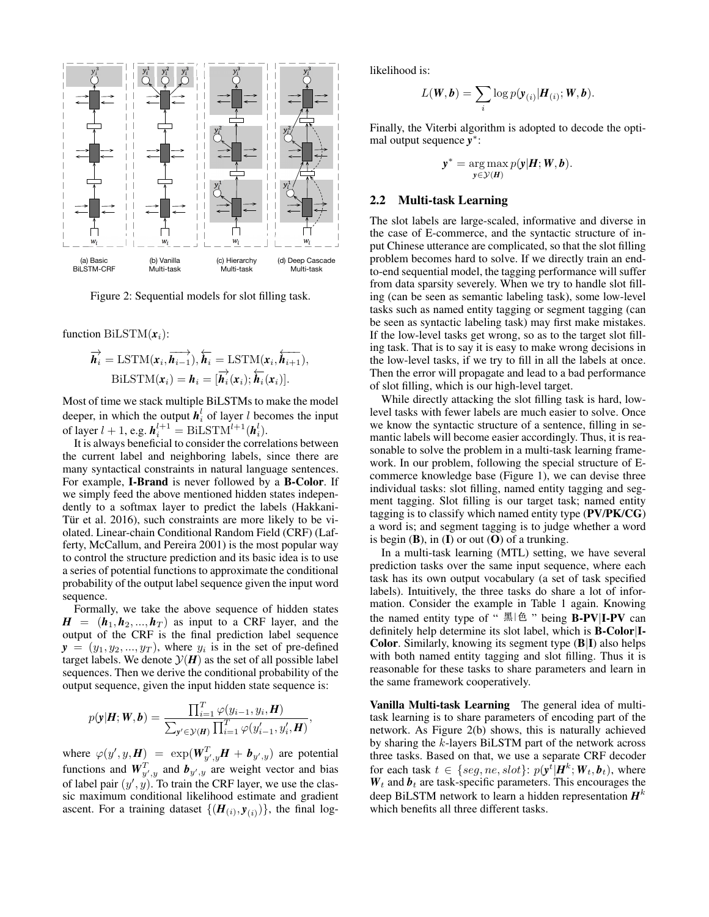

Figure 2: Sequential models for slot filling task.

function  $\text{BiLSTM}(x_i)$ :

$$
\overrightarrow{\boldsymbol{h}_{i}} = \text{LSTM}(\boldsymbol{x}_{i}, \overrightarrow{\boldsymbol{h}_{i-1}}), \overleftarrow{\boldsymbol{h}_{i}} = \text{LSTM}(\boldsymbol{x}_{i}, \overleftarrow{\boldsymbol{h}_{i+1}}),
$$
  
BilSTM( $\boldsymbol{x}_{i}$ ) =  $\boldsymbol{h}_{i} = [\overrightarrow{\boldsymbol{h}_{i}}(\boldsymbol{x}_{i}); \overleftarrow{\boldsymbol{h}_{i}}(\boldsymbol{x}_{i})].$ 

Most of time we stack multiple BiLSTMs to make the model deeper, in which the output  $h_i^l$  of layer *l* becomes the input of layer  $l + 1$ , e.g.  $\mathbf{h}_i^{l+1} = \text{BiLSTM}^{l+1}(\mathbf{h}_i^l)$ .

It is always beneficial to consider the correlations between the current label and neighboring labels, since there are many syntactical constraints in natural language sentences. For example, I-Brand is never followed by a B-Color. If we simply feed the above mentioned hidden states independently to a softmax layer to predict the labels (Hakkani-Tür et al. 2016), such constraints are more likely to be violated. Linear-chain Conditional Random Field (CRF) (Lafferty, McCallum, and Pereira 2001) is the most popular way to control the structure prediction and its basic idea is to use a series of potential functions to approximate the conditional probability of the output label sequence given the input word sequence.

Formally, we take the above sequence of hidden states  $H = (h_1, h_2, ..., h_T)$  as input to a CRF layer, and the output of the CRF is the final prediction label sequence  $y = (y_1, y_2, ..., y_T)$ , where  $y_i$  is in the set of pre-defined target labels. We denote  $\mathcal{Y}(H)$  as the set of all possible label sequences. Then we derive the conditional probability of the output sequence, given the input hidden state sequence is:

$$
p(\mathbf{y}|\boldsymbol{H};\boldsymbol{W},\boldsymbol{b}) = \frac{\prod_{i=1}^{T} \varphi(y_{i-1}, y_i, \boldsymbol{H})}{\sum_{\mathbf{y}' \in \mathcal{Y}(\boldsymbol{H})} \prod_{i=1}^{T} \varphi(y'_{i-1}, y'_i, \boldsymbol{H})}
$$

,

where  $\varphi(y', y, H) = \exp(W_{y',y}^T H + b_{y',y})$  are potential functions and  $W_{y',y}^T$  and  $b_{y',y}$  are weight vector and bias of label pair  $(y', y)$ . To train the CRF layer, we use the classic maximum conditional likelihood estimate and gradient ascent. For a training dataset  $\{(\boldsymbol{H}_{(i)}, \boldsymbol{y}_{(i)})\}$ , the final loglikelihood is:

$$
L(\boldsymbol{W},\boldsymbol{b})=\sum_i \log p(\boldsymbol{y}_{(i)}|\boldsymbol{H}_{(i)};\boldsymbol{W},\boldsymbol{b}).
$$

Finally, the Viterbi algorithm is adopted to decode the optimal output sequence *y* ∗ :

$$
\mathbf{y}^* = \arg \max_{\mathbf{y} \in \mathcal{Y}(\mathbf{H})} p(\mathbf{y}|\mathbf{H}; \mathbf{W}, \mathbf{b}).
$$

### 2.2 Multi-task Learning

The slot labels are large-scaled, informative and diverse in the case of E-commerce, and the syntactic structure of input Chinese utterance are complicated, so that the slot filling problem becomes hard to solve. If we directly train an endto-end sequential model, the tagging performance will suffer from data sparsity severely. When we try to handle slot filling (can be seen as semantic labeling task), some low-level tasks such as named entity tagging or segment tagging (can be seen as syntactic labeling task) may first make mistakes. If the low-level tasks get wrong, so as to the target slot filling task. That is to say it is easy to make wrong decisions in the low-level tasks, if we try to fill in all the labels at once. Then the error will propagate and lead to a bad performance of slot filling, which is our high-level target.

While directly attacking the slot filling task is hard, lowlevel tasks with fewer labels are much easier to solve. Once we know the syntactic structure of a sentence, filling in semantic labels will become easier accordingly. Thus, it is reasonable to solve the problem in a multi-task learning framework. In our problem, following the special structure of Ecommerce knowledge base (Figure 1), we can devise three individual tasks: slot filling, named entity tagging and segment tagging. Slot filling is our target task; named entity tagging is to classify which named entity type (PV/PK/CG) a word is; and segment tagging is to judge whether a word is begin  $(B)$ , in  $(I)$  or out  $(O)$  of a trunking.

In a multi-task learning (MTL) setting, we have several prediction tasks over the same input sequence, where each task has its own output vocabulary (a set of task specified labels). Intuitively, the three tasks do share a lot of information. Consider the example in Table 1 again. Knowing the named entity type of "  $\mathbb{R} \setminus \mathbb{R}$ " being **B-PV**|**I-PV** can definitely help determine its slot label, which is B-Color|I-Color. Similarly, knowing its segment type (B|I) also helps with both named entity tagging and slot filling. Thus it is reasonable for these tasks to share parameters and learn in the same framework cooperatively.

Vanilla Multi-task Learning The general idea of multitask learning is to share parameters of encoding part of the network. As Figure 2(b) shows, this is naturally achieved by sharing the k-layers BiLSTM part of the network across three tasks. Based on that, we use a separate CRF decoder for each task  $t \in \{seg, ne, slot\}$ :  $p(\mathbf{y}^t | \mathbf{H}^k; \mathbf{W}_t, \mathbf{b}_t)$ , where  $W_t$  and  $b_t$  are task-specific parameters. This encourages the deep BiLSTM network to learn a hidden representation *H* k which benefits all three different tasks.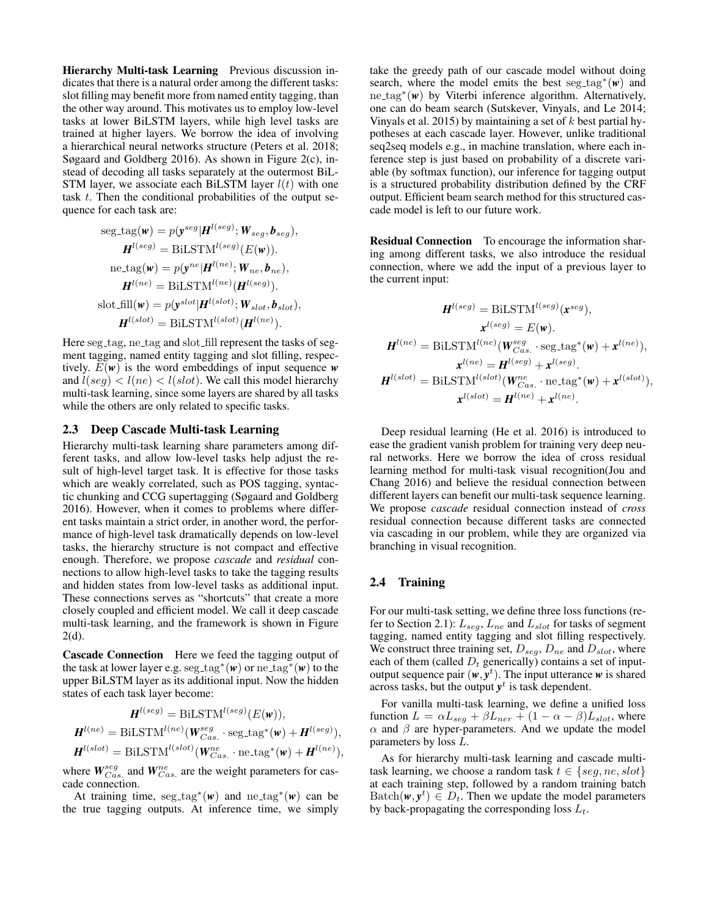Hierarchy Multi-task Learning Previous discussion indicates that there is a natural order among the different tasks: slot filling may benefit more from named entity tagging, than the other way around. This motivates us to employ low-level tasks at lower BiLSTM layers, while high level tasks are trained at higher layers. We borrow the idea of involving a hierarchical neural networks structure (Peters et al. 2018; Søgaard and Goldberg 2016). As shown in Figure 2(c), instead of decoding all tasks separately at the outermost BiL-STM layer, we associate each BiLSTM layer  $l(t)$  with one task  $t$ . Then the conditional probabilities of the output sequence for each task are:

$$
\text{seg\_tag}(\mathbf{w}) = p(\mathbf{y}^{seg}|\mathbf{H}^{l(seg)}; \mathbf{W}_{seg}, \mathbf{b}_{seg}),
$$

$$
\mathbf{H}^{l(seg)} = \text{BiLSTM}^{l(seg)}(E(\mathbf{w})).
$$

$$
\text{ne\_tag}(\mathbf{w}) = p(\mathbf{y}^{ne}|\mathbf{H}^{l(ne)}; \mathbf{W}_{ne}, \mathbf{b}_{ne}),
$$

$$
\mathbf{H}^{l(ne)} = \text{BiLSTM}^{l(ne)}(\mathbf{H}^{l(seg)}).
$$

$$
\text{slot\_fill}(\mathbf{w}) = p(\mathbf{y}^{slot}|\mathbf{H}^{l(slot)}; \mathbf{W}_{slot}, \mathbf{b}_{slot}),
$$

$$
\mathbf{H}^{l(slot)} = \text{BiLSTM}^{l(slot)}(\mathbf{H}^{l(ne)}).
$$

Here seg\_tag, ne\_tag and slot\_fill represent the tasks of segment tagging, named entity tagging and slot filling, respectively.  $E(w)$  is the word embeddings of input sequence w and  $l(seg) < l(ne) < l(slot)$ . We call this model hierarchy multi-task learning, since some layers are shared by all tasks while the others are only related to specific tasks.

#### 2.3 Deep Cascade Multi-task Learning

Hierarchy multi-task learning share parameters among different tasks, and allow low-level tasks help adjust the result of high-level target task. It is effective for those tasks which are weakly correlated, such as POS tagging, syntactic chunking and CCG supertagging (Søgaard and Goldberg 2016). However, when it comes to problems where different tasks maintain a strict order, in another word, the performance of high-level task dramatically depends on low-level tasks, the hierarchy structure is not compact and effective enough. Therefore, we propose *cascade* and *residual* connections to allow high-level tasks to take the tagging results and hidden states from low-level tasks as additional input. These connections serves as "shortcuts" that create a more closely coupled and efficient model. We call it deep cascade multi-task learning, and the framework is shown in Figure 2(d).

Cascade Connection Here we feed the tagging output of the task at lower layer e.g.  $\text{seg\_tag}^*(w)$  or  $\text{neg\_tag}^*(w)$  to the upper BiLSTM layer as its additional input. Now the hidden states of each task layer become:

$$
\begin{aligned} \boldsymbol{H}^{l (seg)} = \text{BiLSTM}^{l (seg)}(E(\boldsymbol{w})), \\ \boldsymbol{H}^{l (ne)} = \text{BiLSTM}^{l (ne)}(\boldsymbol{W}_{Cas.}^{seg}\cdot \text{seg\_tag*}^*(\boldsymbol{w}) + \boldsymbol{H}^{l (seg)}), \\ \boldsymbol{H}^{l (slot)} = \text{BiLSTM}^{l (slot)}(\boldsymbol{W}_{Cas.}^{ne}\cdot \text{ne\_tag}^*(\boldsymbol{w}) + \boldsymbol{H}^{l (ne)}), \end{aligned}
$$

where  $W_{Cas.}^{seg}$  and  $W_{Cas.}^{ne}$  are the weight parameters for cascade connection.

At training time,  $\text{seg\_tag}^*(w)$  and  $\text{ne\_tag}^*(w)$  can be the true tagging outputs. At inference time, we simply

take the greedy path of our cascade model without doing search, where the model emits the best seg<sub>-tag</sub><sup>\*</sup>( $w$ ) and ne tag<sup>∗</sup> (*w*) by Viterbi inference algorithm. Alternatively, one can do beam search (Sutskever, Vinyals, and Le 2014; Vinyals et al. 2015) by maintaining a set of  $k$  best partial hypotheses at each cascade layer. However, unlike traditional seq2seq models e.g., in machine translation, where each inference step is just based on probability of a discrete variable (by softmax function), our inference for tagging output is a structured probability distribution defined by the CRF output. Efficient beam search method for this structured cascade model is left to our future work.

Residual Connection To encourage the information sharing among different tasks, we also introduce the residual connection, where we add the input of a previous layer to the current input:

$$
\boldsymbol{H}^{l(seg)} = \text{BiLSTM}^{l(seg)}(\boldsymbol{x}^{seg}),
$$

$$
\boldsymbol{x}^{l(seg)} = E(\boldsymbol{w}).
$$

$$
\boldsymbol{H}^{l(ne)} = \text{BiLSTM}^{l(ne)}(\boldsymbol{W}_{Cas.}^{seg} \cdot \text{seg\_tag}^*(\boldsymbol{w}) + \boldsymbol{x}^{l(ne)}),
$$

$$
\boldsymbol{x}^{l(ne)} = \boldsymbol{H}^{l(seg)} + \boldsymbol{x}^{l(seg)}.
$$

$$
\boldsymbol{H}^{l(slot)} = \text{BiLSTM}^{l(slot)}(\boldsymbol{W}_{Cas.}^{ne} \cdot \text{ne\_tag}^*(\boldsymbol{w}) + \boldsymbol{x}^{l(slot)}),
$$

$$
\boldsymbol{x}^{l(slot)} = \boldsymbol{H}^{l(ne)} + \boldsymbol{x}^{l(ne)}.
$$

Deep residual learning (He et al. 2016) is introduced to ease the gradient vanish problem for training very deep neural networks. Here we borrow the idea of cross residual learning method for multi-task visual recognition(Jou and Chang 2016) and believe the residual connection between different layers can benefit our multi-task sequence learning. We propose *cascade* residual connection instead of *cross* residual connection because different tasks are connected via cascading in our problem, while they are organized via branching in visual recognition.

### 2.4 Training

For our multi-task setting, we define three loss functions (refer to Section 2.1):  $L_{seg}$ ,  $L_{ne}$  and  $L_{slot}$  for tasks of segment tagging, named entity tagging and slot filling respectively. We construct three training set,  $D_{seg}$ ,  $D_{ne}$  and  $D_{slot}$ , where each of them (called  $D_t$  generically) contains a set of inputoutput sequence pair  $(w, y<sup>t</sup>)$ . The input utterance w is shared across tasks, but the output  $y<sup>t</sup>$  is task dependent.

For vanilla multi-task learning, we define a unified loss function  $L = \alpha L_{seg} + \beta L_{ner} + (1 - \alpha - \beta) L_{slot}$ , where  $\alpha$  and  $\beta$  are hyper-parameters. And we update the model parameters by loss L.

As for hierarchy multi-task learning and cascade multitask learning, we choose a random task  $t \in \{seg, ne, slot\}$ at each training step, followed by a random training batch  $\text{Batch}(w, y^t) \in D_t$ . Then we update the model parameters by back-propagating the corresponding loss  $L_t$ .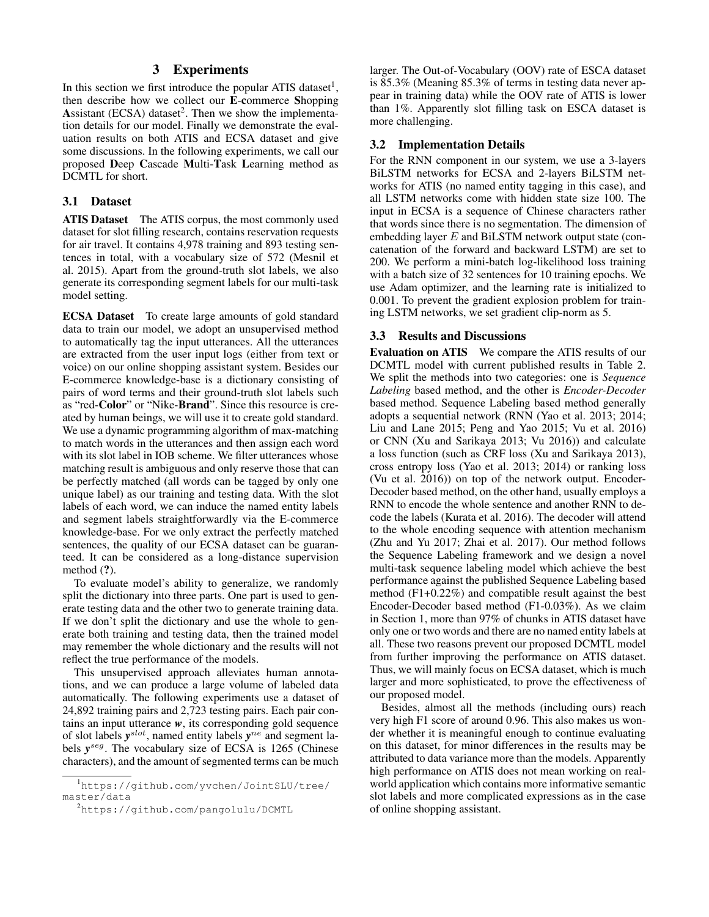# 3 Experiments

In this section we first introduce the popular ATIS dataset<sup>1</sup>, then describe how we collect our E-commerce Shopping Assistant (ECSA) dataset<sup>2</sup>. Then we show the implementation details for our model. Finally we demonstrate the evaluation results on both ATIS and ECSA dataset and give some discussions. In the following experiments, we call our proposed Deep Cascade Multi-Task Learning method as DCMTL for short.

### 3.1 Dataset

ATIS Dataset The ATIS corpus, the most commonly used dataset for slot filling research, contains reservation requests for air travel. It contains 4,978 training and 893 testing sentences in total, with a vocabulary size of 572 (Mesnil et al. 2015). Apart from the ground-truth slot labels, we also generate its corresponding segment labels for our multi-task model setting.

ECSA Dataset To create large amounts of gold standard data to train our model, we adopt an unsupervised method to automatically tag the input utterances. All the utterances are extracted from the user input logs (either from text or voice) on our online shopping assistant system. Besides our E-commerce knowledge-base is a dictionary consisting of pairs of word terms and their ground-truth slot labels such as "red-Color" or "Nike-Brand". Since this resource is created by human beings, we will use it to create gold standard. We use a dynamic programming algorithm of max-matching to match words in the utterances and then assign each word with its slot label in IOB scheme. We filter utterances whose matching result is ambiguous and only reserve those that can be perfectly matched (all words can be tagged by only one unique label) as our training and testing data. With the slot labels of each word, we can induce the named entity labels and segment labels straightforwardly via the E-commerce knowledge-base. For we only extract the perfectly matched sentences, the quality of our ECSA dataset can be guaranteed. It can be considered as a long-distance supervision method (?).

To evaluate model's ability to generalize, we randomly split the dictionary into three parts. One part is used to generate testing data and the other two to generate training data. If we don't split the dictionary and use the whole to generate both training and testing data, then the trained model may remember the whole dictionary and the results will not reflect the true performance of the models.

This unsupervised approach alleviates human annotations, and we can produce a large volume of labeled data automatically. The following experiments use a dataset of 24,892 training pairs and 2,723 testing pairs. Each pair contains an input utterance *w*, its corresponding gold sequence of slot labels  $y^{slot}$ , named entity labels  $y^{ne}$  and segment labels  $y^{seg}$ . The vocabulary size of ECSA is 1265 (Chinese characters), and the amount of segmented terms can be much

larger. The Out-of-Vocabulary (OOV) rate of ESCA dataset is 85.3% (Meaning 85.3% of terms in testing data never appear in training data) while the OOV rate of ATIS is lower than 1%. Apparently slot filling task on ESCA dataset is more challenging.

### 3.2 Implementation Details

For the RNN component in our system, we use a 3-layers BiLSTM networks for ECSA and 2-layers BiLSTM networks for ATIS (no named entity tagging in this case), and all LSTM networks come with hidden state size 100. The input in ECSA is a sequence of Chinese characters rather that words since there is no segmentation. The dimension of embedding layer E and BiLSTM network output state (concatenation of the forward and backward LSTM) are set to 200. We perform a mini-batch log-likelihood loss training with a batch size of 32 sentences for 10 training epochs. We use Adam optimizer, and the learning rate is initialized to 0.001. To prevent the gradient explosion problem for training LSTM networks, we set gradient clip-norm as 5.

### 3.3 Results and Discussions

Evaluation on ATIS We compare the ATIS results of our DCMTL model with current published results in Table 2. We split the methods into two categories: one is *Sequence Labeling* based method, and the other is *Encoder-Decoder* based method. Sequence Labeling based method generally adopts a sequential network (RNN (Yao et al. 2013; 2014; Liu and Lane 2015; Peng and Yao 2015; Vu et al. 2016) or CNN (Xu and Sarikaya 2013; Vu 2016)) and calculate a loss function (such as CRF loss (Xu and Sarikaya 2013), cross entropy loss (Yao et al. 2013; 2014) or ranking loss (Vu et al. 2016)) on top of the network output. Encoder-Decoder based method, on the other hand, usually employs a RNN to encode the whole sentence and another RNN to decode the labels (Kurata et al. 2016). The decoder will attend to the whole encoding sequence with attention mechanism (Zhu and Yu 2017; Zhai et al. 2017). Our method follows the Sequence Labeling framework and we design a novel multi-task sequence labeling model which achieve the best performance against the published Sequence Labeling based method (F1+0.22%) and compatible result against the best Encoder-Decoder based method (F1-0.03%). As we claim in Section 1, more than 97% of chunks in ATIS dataset have only one or two words and there are no named entity labels at all. These two reasons prevent our proposed DCMTL model from further improving the performance on ATIS dataset. Thus, we will mainly focus on ECSA dataset, which is much larger and more sophisticated, to prove the effectiveness of our proposed model.

Besides, almost all the methods (including ours) reach very high F1 score of around 0.96. This also makes us wonder whether it is meaningful enough to continue evaluating on this dataset, for minor differences in the results may be attributed to data variance more than the models. Apparently high performance on ATIS does not mean working on realworld application which contains more informative semantic slot labels and more complicated expressions as in the case of online shopping assistant.

<sup>1</sup>https://github.com/yvchen/JointSLU/tree/ master/data

<sup>2</sup>https://github.com/pangolulu/DCMTL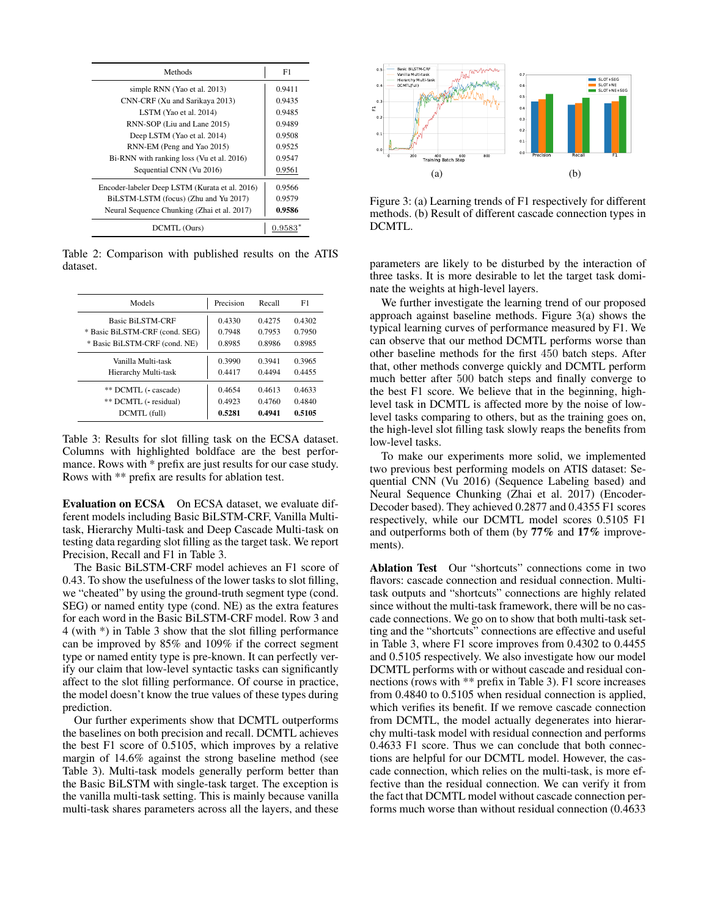| Methods                                        | F1     |  |
|------------------------------------------------|--------|--|
| simple RNN (Yao et al. 2013)                   | 0.9411 |  |
| CNN-CRF (Xu and Sarikaya 2013)                 | 0.9435 |  |
| LSTM (Yao et al. 2014)                         | 0.9485 |  |
| RNN-SOP (Liu and Lane 2015)                    | 0.9489 |  |
| Deep LSTM (Yao et al. 2014)                    | 0.9508 |  |
| RNN-EM (Peng and Yao 2015)                     | 0.9525 |  |
| Bi-RNN with ranking loss (Vu et al. 2016)      | 0.9547 |  |
| Sequential CNN (Vu 2016)                       | 0.9561 |  |
| Encoder-labeler Deep LSTM (Kurata et al. 2016) | 0.9566 |  |
| BiLSTM-LSTM (focus) (Zhu and Yu 2017)          | 0.9579 |  |
| Neural Sequence Chunking (Zhai et al. 2017)    | 0.9586 |  |
| DCMTL (Ours)                                   | 0.9583 |  |

Table 2: Comparison with published results on the ATIS dataset.

| Models                         | Precision | Recall | F1     |
|--------------------------------|-----------|--------|--------|
| <b>Basic BiLSTM-CRF</b>        | 0.4330    | 0.4275 | 0.4302 |
| * Basic BiLSTM-CRF (cond. SEG) | 0.7948    | 0.7953 | 0.7950 |
| * Basic BiLSTM-CRF (cond. NE)  | 0.8985    | 0.8986 | 0.8985 |
| Vanilla Multi-task             | 0.3990    | 0.3941 | 0.3965 |
| Hierarchy Multi-task           | 0.4417    | 0.4494 | 0.4455 |
| ** DCMTL (- cascade)           | 0.4654    | 0.4613 | 0.4633 |
| ** DCMTL (- residual)          | 0.4923    | 0.4760 | 0.4840 |
| DCMTL (full)                   | 0.5281    | 0.4941 | 0.5105 |

Table 3: Results for slot filling task on the ECSA dataset. Columns with highlighted boldface are the best performance. Rows with  $*$  prefix are just results for our case study. Rows with \*\* prefix are results for ablation test.

Evaluation on ECSA On ECSA dataset, we evaluate different models including Basic BiLSTM-CRF, Vanilla Multitask, Hierarchy Multi-task and Deep Cascade Multi-task on testing data regarding slot filling as the target task. We report Precision, Recall and F1 in Table 3.

The Basic BiLSTM-CRF model achieves an F1 score of 0.43. To show the usefulness of the lower tasks to slot filling, we "cheated" by using the ground-truth segment type (cond. SEG) or named entity type (cond. NE) as the extra features for each word in the Basic BiLSTM-CRF model. Row 3 and 4 (with \*) in Table 3 show that the slot filling performance can be improved by 85% and 109% if the correct segment type or named entity type is pre-known. It can perfectly verify our claim that low-level syntactic tasks can significantly affect to the slot filling performance. Of course in practice, the model doesn't know the true values of these types during prediction.

Our further experiments show that DCMTL outperforms the baselines on both precision and recall. DCMTL achieves the best F1 score of 0.5105, which improves by a relative margin of 14.6% against the strong baseline method (see Table 3). Multi-task models generally perform better than the Basic BiLSTM with single-task target. The exception is the vanilla multi-task setting. This is mainly because vanilla multi-task shares parameters across all the layers, and these



Figure 3: (a) Learning trends of F1 respectively for different methods. (b) Result of different cascade connection types in DCMTL.

parameters are likely to be disturbed by the interaction of three tasks. It is more desirable to let the target task dominate the weights at high-level layers.

We further investigate the learning trend of our proposed approach against baseline methods. Figure 3(a) shows the typical learning curves of performance measured by F1. We can observe that our method DCMTL performs worse than other baseline methods for the first 450 batch steps. After that, other methods converge quickly and DCMTL perform much better after 500 batch steps and finally converge to the best F1 score. We believe that in the beginning, highlevel task in DCMTL is affected more by the noise of lowlevel tasks comparing to others, but as the training goes on, the high-level slot filling task slowly reaps the benefits from low-level tasks.

To make our experiments more solid, we implemented two previous best performing models on ATIS dataset: Sequential CNN (Vu 2016) (Sequence Labeling based) and Neural Sequence Chunking (Zhai et al. 2017) (Encoder-Decoder based). They achieved 0.2877 and 0.4355 F1 scores respectively, while our DCMTL model scores 0.5105 F1 and outperforms both of them (by 77% and 17% improvements).

Ablation Test Our "shortcuts" connections come in two flavors: cascade connection and residual connection. Multitask outputs and "shortcuts" connections are highly related since without the multi-task framework, there will be no cascade connections. We go on to show that both multi-task setting and the "shortcuts" connections are effective and useful in Table 3, where F1 score improves from 0.4302 to 0.4455 and 0.5105 respectively. We also investigate how our model DCMTL performs with or without cascade and residual connections (rows with \*\* prefix in Table 3). F1 score increases from 0.4840 to 0.5105 when residual connection is applied, which verifies its benefit. If we remove cascade connection from DCMTL, the model actually degenerates into hierarchy multi-task model with residual connection and performs 0.4633 F1 score. Thus we can conclude that both connections are helpful for our DCMTL model. However, the cascade connection, which relies on the multi-task, is more effective than the residual connection. We can verify it from the fact that DCMTL model without cascade connection performs much worse than without residual connection (0.4633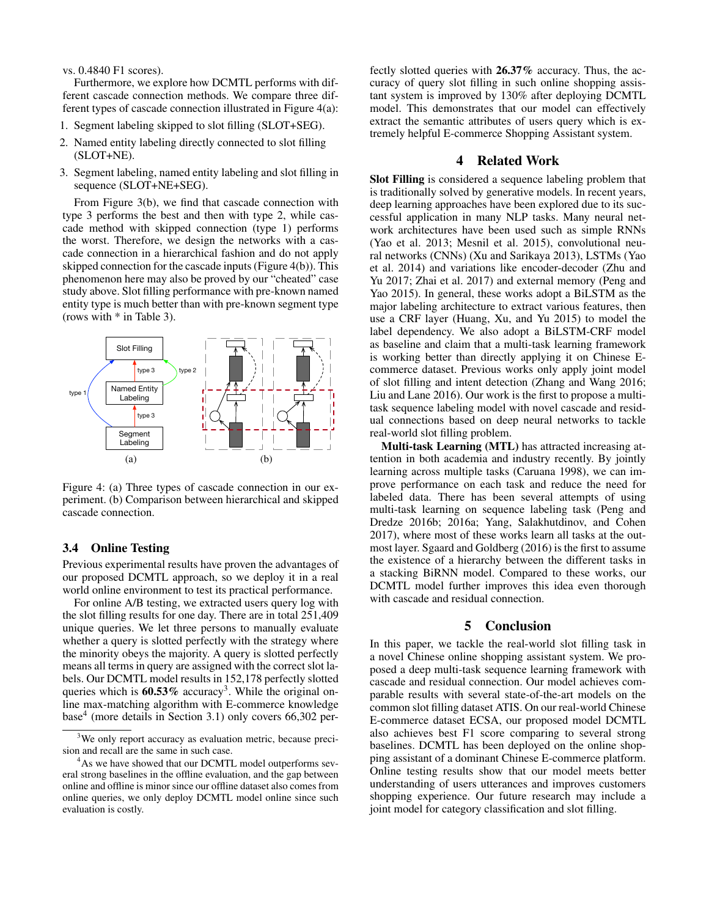vs. 0.4840 F1 scores).

Furthermore, we explore how DCMTL performs with different cascade connection methods. We compare three different types of cascade connection illustrated in Figure 4(a):

- 1. Segment labeling skipped to slot filling (SLOT+SEG).
- 2. Named entity labeling directly connected to slot filling (SLOT+NE).
- 3. Segment labeling, named entity labeling and slot filling in sequence (SLOT+NE+SEG).

From Figure 3(b), we find that cascade connection with type 3 performs the best and then with type 2, while cascade method with skipped connection (type 1) performs the worst. Therefore, we design the networks with a cascade connection in a hierarchical fashion and do not apply skipped connection for the cascade inputs (Figure 4(b)). This phenomenon here may also be proved by our "cheated" case study above. Slot filling performance with pre-known named entity type is much better than with pre-known segment type (rows with \* in Table 3).



Figure 4: (a) Three types of cascade connection in our experiment. (b) Comparison between hierarchical and skipped cascade connection.

# 3.4 Online Testing

Previous experimental results have proven the advantages of our proposed DCMTL approach, so we deploy it in a real world online environment to test its practical performance.

For online A/B testing, we extracted users query log with the slot filling results for one day. There are in total 251,409 unique queries. We let three persons to manually evaluate whether a query is slotted perfectly with the strategy where the minority obeys the majority. A query is slotted perfectly means all terms in query are assigned with the correct slot labels. Our DCMTL model results in 152,178 perfectly slotted queries which is  $60.53\%$  accuracy<sup>3</sup>. While the original online max-matching algorithm with E-commerce knowledge base<sup>4</sup> (more details in Section 3.1) only covers 66,302 per-

fectly slotted queries with  $26.37\%$  accuracy. Thus, the accuracy of query slot filling in such online shopping assistant system is improved by 130% after deploying DCMTL model. This demonstrates that our model can effectively extract the semantic attributes of users query which is extremely helpful E-commerce Shopping Assistant system.

### 4 Related Work

Slot Filling is considered a sequence labeling problem that is traditionally solved by generative models. In recent years, deep learning approaches have been explored due to its successful application in many NLP tasks. Many neural network architectures have been used such as simple RNNs (Yao et al. 2013; Mesnil et al. 2015), convolutional neural networks (CNNs) (Xu and Sarikaya 2013), LSTMs (Yao et al. 2014) and variations like encoder-decoder (Zhu and Yu 2017; Zhai et al. 2017) and external memory (Peng and Yao 2015). In general, these works adopt a BiLSTM as the major labeling architecture to extract various features, then use a CRF layer (Huang, Xu, and Yu 2015) to model the label dependency. We also adopt a BiLSTM-CRF model as baseline and claim that a multi-task learning framework is working better than directly applying it on Chinese Ecommerce dataset. Previous works only apply joint model of slot filling and intent detection (Zhang and Wang 2016; Liu and Lane 2016). Our work is the first to propose a multitask sequence labeling model with novel cascade and residual connections based on deep neural networks to tackle real-world slot filling problem.

Multi-task Learning (MTL) has attracted increasing attention in both academia and industry recently. By jointly learning across multiple tasks (Caruana 1998), we can improve performance on each task and reduce the need for labeled data. There has been several attempts of using multi-task learning on sequence labeling task (Peng and Dredze 2016b; 2016a; Yang, Salakhutdinov, and Cohen 2017), where most of these works learn all tasks at the outmost layer. Sgaard and Goldberg (2016) is the first to assume the existence of a hierarchy between the different tasks in a stacking BiRNN model. Compared to these works, our DCMTL model further improves this idea even thorough with cascade and residual connection.

# 5 Conclusion

In this paper, we tackle the real-world slot filling task in a novel Chinese online shopping assistant system. We proposed a deep multi-task sequence learning framework with cascade and residual connection. Our model achieves comparable results with several state-of-the-art models on the common slot filling dataset ATIS. On our real-world Chinese E-commerce dataset ECSA, our proposed model DCMTL also achieves best F1 score comparing to several strong baselines. DCMTL has been deployed on the online shopping assistant of a dominant Chinese E-commerce platform. Online testing results show that our model meets better understanding of users utterances and improves customers shopping experience. Our future research may include a joint model for category classification and slot filling.

<sup>&</sup>lt;sup>3</sup>We only report accuracy as evaluation metric, because precision and recall are the same in such case.

<sup>&</sup>lt;sup>4</sup>As we have showed that our DCMTL model outperforms several strong baselines in the offline evaluation, and the gap between online and offline is minor since our offline dataset also comes from online queries, we only deploy DCMTL model online since such evaluation is costly.